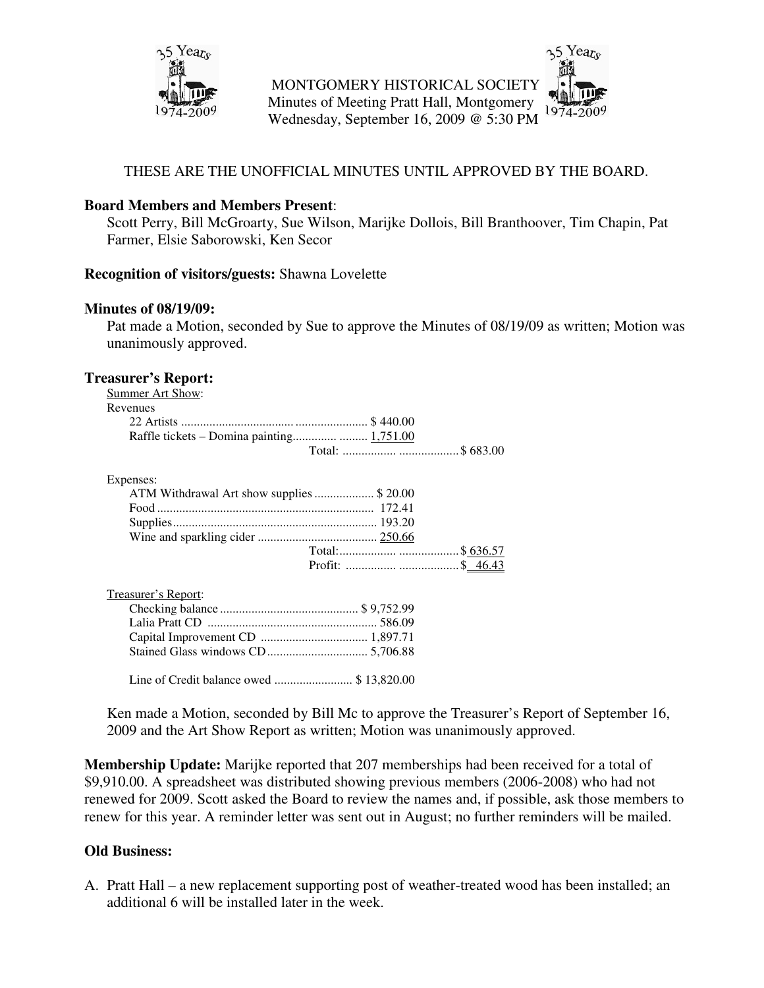

MONTGOMERY HISTORICAL SOCIETY Minutes of Meeting Pratt Hall, Montgomery Wednesday, September 16, 2009 @ 5:30 PM

# THESE ARE THE UNOFFICIAL MINUTES UNTIL APPROVED BY THE BOARD.

### **Board Members and Members Present**:

Scott Perry, Bill McGroarty, Sue Wilson, Marijke Dollois, Bill Branthoover, Tim Chapin, Pat Farmer, Elsie Saborowski, Ken Secor

#### **Recognition of visitors/guests:** Shawna Lovelette

#### **Minutes of 08/19/09:**

Pat made a Motion, seconded by Sue to approve the Minutes of 08/19/09 as written; Motion was unanimously approved.

### **Treasurer's Report:**

| Summer Art Show: |  |
|------------------|--|
| Revenues         |  |
|                  |  |
|                  |  |
|                  |  |
|                  |  |
|                  |  |

#### Expenses:

| ATM Withdrawal Art show supplies  \$20.00 |  |
|-------------------------------------------|--|
|                                           |  |
|                                           |  |
|                                           |  |
|                                           |  |
|                                           |  |

| Treasurer's Report: |  |
|---------------------|--|
|                     |  |
|                     |  |
|                     |  |
|                     |  |
|                     |  |

Line of Credit balance owed ......................... \$ 13,820.00

Ken made a Motion, seconded by Bill Mc to approve the Treasurer's Report of September 16, 2009 and the Art Show Report as written; Motion was unanimously approved.

**Membership Update:** Marijke reported that 207 memberships had been received for a total of \$9,910.00. A spreadsheet was distributed showing previous members (2006-2008) who had not renewed for 2009. Scott asked the Board to review the names and, if possible, ask those members to renew for this year. A reminder letter was sent out in August; no further reminders will be mailed.

# **Old Business:**

A. Pratt Hall – a new replacement supporting post of weather-treated wood has been installed; an additional 6 will be installed later in the week.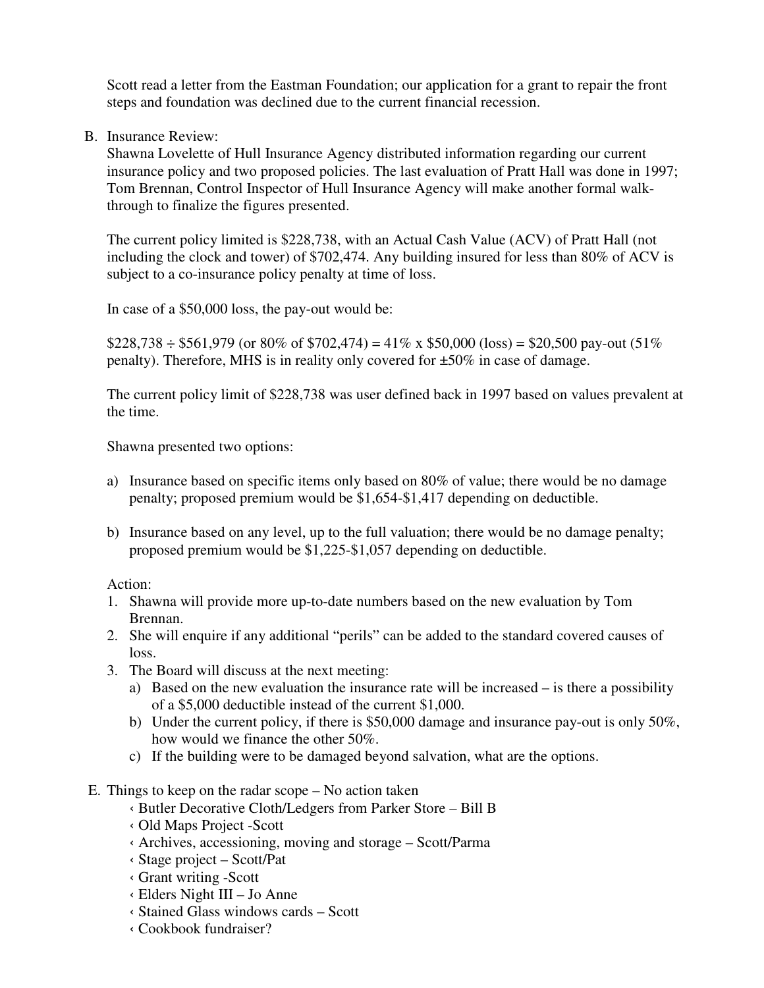Scott read a letter from the Eastman Foundation; our application for a grant to repair the front steps and foundation was declined due to the current financial recession.

B. Insurance Review:

Shawna Lovelette of Hull Insurance Agency distributed information regarding our current insurance policy and two proposed policies. The last evaluation of Pratt Hall was done in 1997; Tom Brennan, Control Inspector of Hull Insurance Agency will make another formal walkthrough to finalize the figures presented.

The current policy limited is \$228,738, with an Actual Cash Value (ACV) of Pratt Hall (not including the clock and tower) of \$702,474. Any building insured for less than 80% of ACV is subject to a co-insurance policy penalty at time of loss.

In case of a \$50,000 loss, the pay-out would be:

 $$228,738 \div $561,979$  (or 80% of \$702,474) = 41% x \$50,000 (loss) = \$20,500 pay-out (51%) penalty). Therefore, MHS is in reality only covered for ±50% in case of damage.

The current policy limit of \$228,738 was user defined back in 1997 based on values prevalent at the time.

Shawna presented two options:

- a) Insurance based on specific items only based on 80% of value; there would be no damage penalty; proposed premium would be \$1,654-\$1,417 depending on deductible.
- b) Insurance based on any level, up to the full valuation; there would be no damage penalty; proposed premium would be \$1,225-\$1,057 depending on deductible.

Action:

- 1. Shawna will provide more up-to-date numbers based on the new evaluation by Tom Brennan.
- 2. She will enquire if any additional "perils" can be added to the standard covered causes of loss.
- 3. The Board will discuss at the next meeting:
	- a) Based on the new evaluation the insurance rate will be increased is there a possibility of a \$5,000 deductible instead of the current \$1,000.
	- b) Under the current policy, if there is \$50,000 damage and insurance pay-out is only 50%, how would we finance the other 50%.
	- c) If the building were to be damaged beyond salvation, what are the options.
- E. Things to keep on the radar scope No action taken
	- ‹ Butler Decorative Cloth/Ledgers from Parker Store Bill B
	- ‹ Old Maps Project -Scott
	- ‹ Archives, accessioning, moving and storage Scott/Parma
	- ‹ Stage project Scott/Pat
	- ‹ Grant writing -Scott
	- ‹ Elders Night III Jo Anne
	- ‹ Stained Glass windows cards Scott
	- ‹ Cookbook fundraiser?